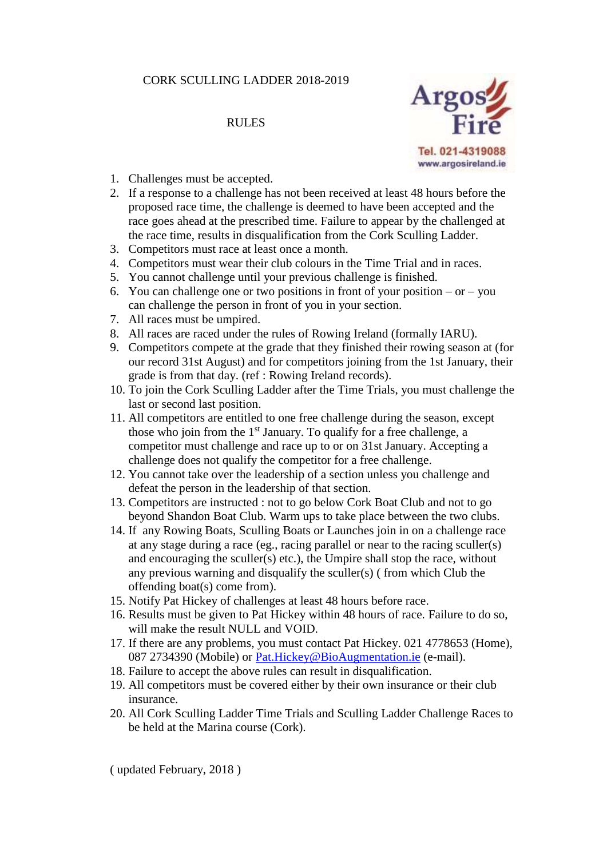## CORK SCULLING LADDER 2018-2019

## RULES



- 1. Challenges must be accepted.
- 2. If a response to a challenge has not been received at least 48 hours before the proposed race time, the challenge is deemed to have been accepted and the race goes ahead at the prescribed time. Failure to appear by the challenged at the race time, results in disqualification from the Cork Sculling Ladder.
- 3. Competitors must race at least once a month.
- 4. Competitors must wear their club colours in the Time Trial and in races.
- 5. You cannot challenge until your previous challenge is finished.
- 6. You can challenge one or two positions in front of your position or you can challenge the person in front of you in your section.
- 7. All races must be umpired.
- 8. All races are raced under the rules of Rowing Ireland (formally IARU).
- 9. Competitors compete at the grade that they finished their rowing season at (for our record 31st August) and for competitors joining from the 1st January, their grade is from that day. (ref : Rowing Ireland records).
- 10. To join the Cork Sculling Ladder after the Time Trials, you must challenge the last or second last position.
- 11. All competitors are entitled to one free challenge during the season, except those who join from the  $1<sup>st</sup>$  January. To qualify for a free challenge, a competitor must challenge and race up to or on 31st January. Accepting a challenge does not qualify the competitor for a free challenge.
- 12. You cannot take over the leadership of a section unless you challenge and defeat the person in the leadership of that section.
- 13. Competitors are instructed : not to go below Cork Boat Club and not to go beyond Shandon Boat Club. Warm ups to take place between the two clubs.
- 14. If any Rowing Boats, Sculling Boats or Launches join in on a challenge race at any stage during a race (eg., racing parallel or near to the racing sculler(s) and encouraging the sculler(s) etc.), the Umpire shall stop the race, without any previous warning and disqualify the sculler(s) ( from which Club the offending boat(s) come from).
- 15. Notify Pat Hickey of challenges at least 48 hours before race.
- 16. Results must be given to Pat Hickey within 48 hours of race. Failure to do so, will make the result NULL and VOID.
- 17. If there are any problems, you must contact Pat Hickey. 021 4778653 (Home), 087 2734390 (Mobile) or [Pat.Hickey@BioAugmentation.ie](mailto:Pat.Hickey@BioAugmentation.ie) (e-mail).
- 18. Failure to accept the above rules can result in disqualification.
- 19. All competitors must be covered either by their own insurance or their club insurance.
- 20. All Cork Sculling Ladder Time Trials and Sculling Ladder Challenge Races to be held at the Marina course (Cork).

( updated February, 2018 )